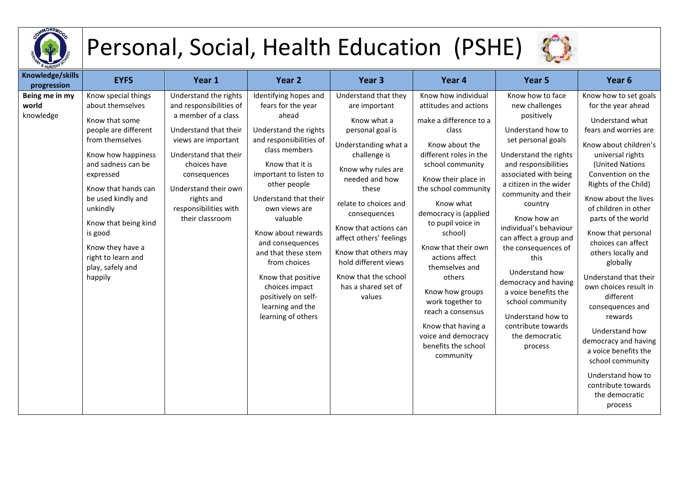

## Personal, Social, Health Education (PSHE)



| Knowledge/skills<br>progression      | <b>EYFS</b>                                                                                                                                                                                                                                                                                                                        | Year 1                                                                                                                                                                                                                                                             | Year <sub>2</sub>                                                                                                                                                                                                                                                                                                                                                                                                                      | Year <sub>3</sub>                                                                                                                                                                                                                                                                                                                                                       | Year 4                                                                                                                                                                                                                                                                                                                                                                                                                                                                                 | Year 5                                                                                                                                                                                                                                                                                                                                                                                                                                                                                            | Year 6                                                                                                                                                                                                                                                                                                                                                                                                                                                                                                                                                                                                               |
|--------------------------------------|------------------------------------------------------------------------------------------------------------------------------------------------------------------------------------------------------------------------------------------------------------------------------------------------------------------------------------|--------------------------------------------------------------------------------------------------------------------------------------------------------------------------------------------------------------------------------------------------------------------|----------------------------------------------------------------------------------------------------------------------------------------------------------------------------------------------------------------------------------------------------------------------------------------------------------------------------------------------------------------------------------------------------------------------------------------|-------------------------------------------------------------------------------------------------------------------------------------------------------------------------------------------------------------------------------------------------------------------------------------------------------------------------------------------------------------------------|----------------------------------------------------------------------------------------------------------------------------------------------------------------------------------------------------------------------------------------------------------------------------------------------------------------------------------------------------------------------------------------------------------------------------------------------------------------------------------------|---------------------------------------------------------------------------------------------------------------------------------------------------------------------------------------------------------------------------------------------------------------------------------------------------------------------------------------------------------------------------------------------------------------------------------------------------------------------------------------------------|----------------------------------------------------------------------------------------------------------------------------------------------------------------------------------------------------------------------------------------------------------------------------------------------------------------------------------------------------------------------------------------------------------------------------------------------------------------------------------------------------------------------------------------------------------------------------------------------------------------------|
| Being me in my<br>world<br>knowledge | Know special things<br>about themselves<br>Know that some<br>people are different<br>from themselves<br>Know how happiness<br>and sadness can be<br>expressed<br>Know that hands can<br>be used kindly and<br>unkindly<br>Know that being kind<br>is good<br>Know they have a<br>right to learn and<br>play, safely and<br>happily | Understand the rights<br>and responsibilities of<br>a member of a class<br>Understand that their<br>views are important<br>Understand that their<br>choices have<br>consequences<br>Understand their own<br>rights and<br>responsibilities with<br>their classroom | Identifying hopes and<br>fears for the year<br>ahead<br>Understand the rights<br>and responsibilities of<br>class members<br>Know that it is<br>important to listen to<br>other people<br>Understand that their<br>own views are<br>valuable<br>Know about rewards<br>and consequences<br>and that these stem<br>from choices<br>Know that positive<br>choices impact<br>positively on self-<br>learning and the<br>learning of others | Understand that they<br>are important<br>Know what a<br>personal goal is<br>Understanding what a<br>challenge is<br>Know why rules are<br>needed and how<br>these<br>relate to choices and<br>consequences<br>Know that actions can<br>affect others' feelings<br>Know that others may<br>hold different views<br>Know that the school<br>has a shared set of<br>values | Know how individual<br>attitudes and actions<br>make a difference to a<br>class<br>Know about the<br>different roles in the<br>school community<br>Know their place in<br>the school community<br>Know what<br>democracy is (applied<br>to pupil voice in<br>school)<br>Know that their own<br>actions affect<br>themselves and<br>others<br>Know how groups<br>work together to<br>reach a consensus<br>Know that having a<br>voice and democracy<br>benefits the school<br>community | Know how to face<br>new challenges<br>positively<br>Understand how to<br>set personal goals<br>Understand the rights<br>and responsibilities<br>associated with being<br>a citizen in the wider<br>community and their<br>country<br>Know how an<br>individual's behaviour<br>can affect a group and<br>the consequences of<br>this<br>Understand how<br>democracy and having<br>a voice benefits the<br>school community<br>Understand how to<br>contribute towards<br>the democratic<br>process | Know how to set goals<br>for the year ahead<br>Understand what<br>fears and worries are<br>Know about children's<br>universal rights<br>(United Nations<br>Convention on the<br>Rights of the Child)<br>Know about the lives<br>of children in other<br>parts of the world<br>Know that personal<br>choices can affect<br>others locally and<br>globally<br>Understand that their<br>own choices result in<br>different<br>consequences and<br>rewards<br>Understand how<br>democracy and having<br>a voice benefits the<br>school community<br>Understand how to<br>contribute towards<br>the democratic<br>process |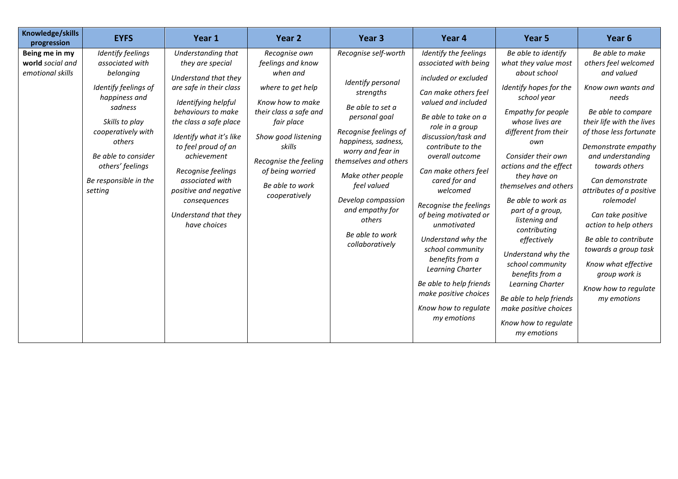| Knowledge/skills<br>progression                        | <b>EYFS</b>                                                                                                                                                                                                                            | Year 1                                                                                                                                                                                                                                                                                                                                                      | Year 2                                                                                                                                                                                                                                            | Year <sub>3</sub>                                                                                                                                                                                                                                                                                                      | Year 4                                                                                                                                                                                                                                                                                                                                                                                                                                                                                                                             | Year 5                                                                                                                                                                                                                                                                                                                                                                                                                                                                                                                                      | Year <sub>6</sub>                                                                                                                                                                                                                                                                                                                                                                                                                                                          |
|--------------------------------------------------------|----------------------------------------------------------------------------------------------------------------------------------------------------------------------------------------------------------------------------------------|-------------------------------------------------------------------------------------------------------------------------------------------------------------------------------------------------------------------------------------------------------------------------------------------------------------------------------------------------------------|---------------------------------------------------------------------------------------------------------------------------------------------------------------------------------------------------------------------------------------------------|------------------------------------------------------------------------------------------------------------------------------------------------------------------------------------------------------------------------------------------------------------------------------------------------------------------------|------------------------------------------------------------------------------------------------------------------------------------------------------------------------------------------------------------------------------------------------------------------------------------------------------------------------------------------------------------------------------------------------------------------------------------------------------------------------------------------------------------------------------------|---------------------------------------------------------------------------------------------------------------------------------------------------------------------------------------------------------------------------------------------------------------------------------------------------------------------------------------------------------------------------------------------------------------------------------------------------------------------------------------------------------------------------------------------|----------------------------------------------------------------------------------------------------------------------------------------------------------------------------------------------------------------------------------------------------------------------------------------------------------------------------------------------------------------------------------------------------------------------------------------------------------------------------|
| Being me in my<br>world social and<br>emotional skills | Identify feelings<br>associated with<br>belonging<br>Identify feelings of<br>happiness and<br>sadness<br>Skills to play<br>cooperatively with<br>others<br>Be able to consider<br>others' feelings<br>Be responsible in the<br>setting | Understanding that<br>they are special<br>Understand that they<br>are safe in their class<br>Identifying helpful<br>behaviours to make<br>the class a safe place<br>Identify what it's like<br>to feel proud of an<br>achievement<br>Recognise feelings<br>associated with<br>positive and negative<br>consequences<br>Understand that they<br>have choices | Recognise own<br>feelings and know<br>when and<br>where to get help<br>Know how to make<br>their class a safe and<br>fair place<br>Show good listening<br>skills<br>Recognise the feeling<br>of being worried<br>Be able to work<br>cooperatively | Recognise self-worth<br>Identify personal<br>strengths<br>Be able to set a<br>personal goal<br>Recognise feelings of<br>happiness, sadness,<br>worry and fear in<br>themselves and others<br>Make other people<br>feel valued<br>Develop compassion<br>and empathy for<br>others<br>Be able to work<br>collaboratively | Identify the feelings<br>associated with being<br>included or excluded<br>Can make others feel<br>valued and included<br>Be able to take on a<br>role in a group<br>discussion/task and<br>contribute to the<br>overall outcome<br>Can make others feel<br>cared for and<br>welcomed<br>Recognise the feelings<br>of being motivated or<br>unmotivated<br>Understand why the<br>school community<br>benefits from a<br>Learning Charter<br>Be able to help friends<br>make positive choices<br>Know how to regulate<br>my emotions | Be able to identify<br>what they value most<br>about school<br>Identify hopes for the<br>school year<br>Empathy for people<br>whose lives are<br>different from their<br>own<br>Consider their own<br>actions and the effect<br>they have on<br>themselves and others<br>Be able to work as<br>part of a group,<br>listening and<br>contributing<br>effectively<br>Understand why the<br>school community<br>benefits from a<br>Learning Charter<br>Be able to help friends<br>make positive choices<br>Know how to regulate<br>my emotions | Be able to make<br>others feel welcomed<br>and valued<br>Know own wants and<br>needs<br>Be able to compare<br>their life with the lives<br>of those less fortunate<br>Demonstrate empathy<br>and understanding<br>towards others<br>Can demonstrate<br>attributes of a positive<br>rolemodel<br>Can take positive<br>action to help others<br>Be able to contribute<br>towards a group task<br>Know what effective<br>group work is<br>Know how to regulate<br>my emotions |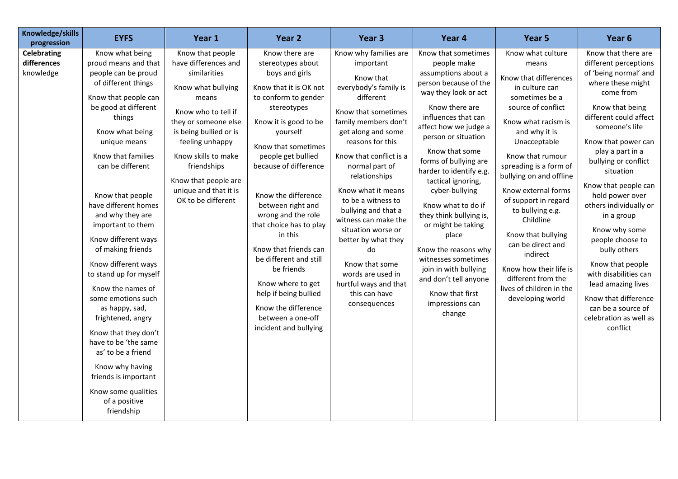| Knowledge/skills<br>progression                | <b>EYFS</b>                                                                                                                                                                                                                                                                                                                                                                                                                                                                                                                                                                                                                                                             | Year 1                                                                                                                                                                                                                                                                                           | Year 2                                                                                                                                                                                                                                                                                                                                                                                                                                                                                                                        | Year <sub>3</sub>                                                                                                                                                                                                                                                                                                                                                                                                                                                                           | Year 4                                                                                                                                                                                                                                                                                                                                                                                                                                                                                                                                             | Year 5                                                                                                                                                                                                                                                                                                                                                                                                                                                                                | Year 6                                                                                                                                                                                                                                                                                                                                                                                                                                                                                                                                                |
|------------------------------------------------|-------------------------------------------------------------------------------------------------------------------------------------------------------------------------------------------------------------------------------------------------------------------------------------------------------------------------------------------------------------------------------------------------------------------------------------------------------------------------------------------------------------------------------------------------------------------------------------------------------------------------------------------------------------------------|--------------------------------------------------------------------------------------------------------------------------------------------------------------------------------------------------------------------------------------------------------------------------------------------------|-------------------------------------------------------------------------------------------------------------------------------------------------------------------------------------------------------------------------------------------------------------------------------------------------------------------------------------------------------------------------------------------------------------------------------------------------------------------------------------------------------------------------------|---------------------------------------------------------------------------------------------------------------------------------------------------------------------------------------------------------------------------------------------------------------------------------------------------------------------------------------------------------------------------------------------------------------------------------------------------------------------------------------------|----------------------------------------------------------------------------------------------------------------------------------------------------------------------------------------------------------------------------------------------------------------------------------------------------------------------------------------------------------------------------------------------------------------------------------------------------------------------------------------------------------------------------------------------------|---------------------------------------------------------------------------------------------------------------------------------------------------------------------------------------------------------------------------------------------------------------------------------------------------------------------------------------------------------------------------------------------------------------------------------------------------------------------------------------|-------------------------------------------------------------------------------------------------------------------------------------------------------------------------------------------------------------------------------------------------------------------------------------------------------------------------------------------------------------------------------------------------------------------------------------------------------------------------------------------------------------------------------------------------------|
| <b>Celebrating</b><br>differences<br>knowledge | Know what being<br>proud means and that<br>people can be proud<br>of different things<br>Know that people can<br>be good at different<br>things<br>Know what being<br>unique means<br>Know that families<br>can be different<br>Know that people<br>have different homes<br>and why they are<br>important to them<br>Know different ways<br>of making friends<br>Know different ways<br>to stand up for myself<br>Know the names of<br>some emotions such<br>as happy, sad,<br>frightened, angry<br>Know that they don't<br>have to be 'the same<br>as' to be a friend<br>Know why having<br>friends is important<br>Know some qualities<br>of a positive<br>friendship | Know that people<br>have differences and<br>similarities<br>Know what bullying<br>means<br>Know who to tell if<br>they or someone else<br>is being bullied or is<br>feeling unhappy<br>Know skills to make<br>friendships<br>Know that people are<br>unique and that it is<br>OK to be different | Know there are<br>stereotypes about<br>boys and girls<br>Know that it is OK not<br>to conform to gender<br>stereotypes<br>Know it is good to be<br>yourself<br>Know that sometimes<br>people get bullied<br>because of difference<br>Know the difference<br>between right and<br>wrong and the role<br>that choice has to play<br>in this<br>Know that friends can<br>be different and still<br>be friends<br>Know where to get<br>help if being bullied<br>Know the difference<br>between a one-off<br>incident and bullying | Know why families are<br>important<br>Know that<br>everybody's family is<br>different<br>Know that sometimes<br>family members don't<br>get along and some<br>reasons for this<br>Know that conflict is a<br>normal part of<br>relationships<br>Know what it means<br>to be a witness to<br>bullying and that a<br>witness can make the<br>situation worse or<br>better by what they<br>do<br>Know that some<br>words are used in<br>hurtful ways and that<br>this can have<br>consequences | Know that sometimes<br>people make<br>assumptions about a<br>person because of the<br>way they look or act<br>Know there are<br>influences that can<br>affect how we judge a<br>person or situation<br>Know that some<br>forms of bullying are<br>harder to identify e.g.<br>tactical ignoring,<br>cyber-bullying<br>Know what to do if<br>they think bullying is,<br>or might be taking<br>place<br>Know the reasons why<br>witnesses sometimes<br>join in with bullying<br>and don't tell anyone<br>Know that first<br>impressions can<br>change | Know what culture<br>means<br>Know that differences<br>in culture can<br>sometimes be a<br>source of conflict<br>Know what racism is<br>and why it is<br>Unacceptable<br>Know that rumour<br>spreading is a form of<br>bullying on and offline<br>Know external forms<br>of support in regard<br>to bullying e.g.<br>Childline<br>Know that bullying<br>can be direct and<br>indirect<br>Know how their life is<br>different from the<br>lives of children in the<br>developing world | Know that there are<br>different perceptions<br>of 'being normal' and<br>where these might<br>come from<br>Know that being<br>different could affect<br>someone's life<br>Know that power can<br>play a part in a<br>bullying or conflict<br>situation<br>Know that people can<br>hold power over<br>others individually or<br>in a group<br>Know why some<br>people choose to<br>bully others<br>Know that people<br>with disabilities can<br>lead amazing lives<br>Know that difference<br>can be a source of<br>celebration as well as<br>conflict |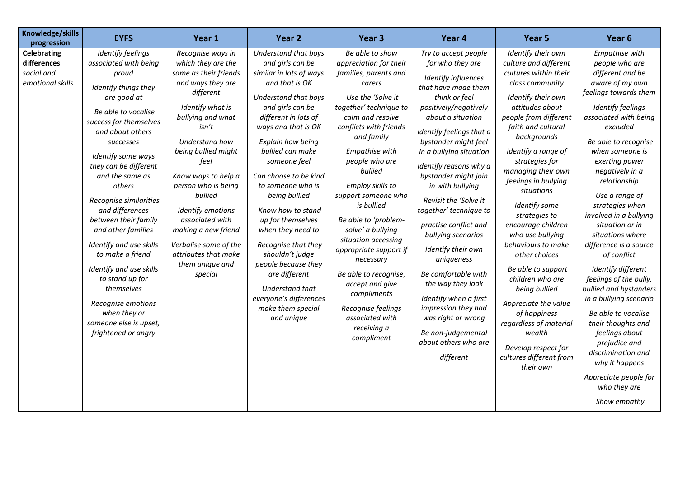| Knowledge/skills<br>progression                                     | <b>EYFS</b>                                                                                                                                                                                                                                                                                                                                                                                                                                                                                                                                                  | Year 1                                                                                                                                                                                                                                                                                                                                                                                                       | Year 2                                                                                                                                                                                                                                                                                                                                                                                                                                                                                                                                    | Year <sub>3</sub>                                                                                                                                                                                                                                                                                                                                                                                                                                                                                                                           | Year 4                                                                                                                                                                                                                                                                                                                                                                                                                                                                                                                                                                                                                        | Year 5                                                                                                                                                                                                                                                                                                                                                                                                                                                                                                                                                                                                                       | Year <sub>6</sub>                                                                                                                                                                                                                                                                                                                                                                                                                                                                                                                                                                                                                                                                              |
|---------------------------------------------------------------------|--------------------------------------------------------------------------------------------------------------------------------------------------------------------------------------------------------------------------------------------------------------------------------------------------------------------------------------------------------------------------------------------------------------------------------------------------------------------------------------------------------------------------------------------------------------|--------------------------------------------------------------------------------------------------------------------------------------------------------------------------------------------------------------------------------------------------------------------------------------------------------------------------------------------------------------------------------------------------------------|-------------------------------------------------------------------------------------------------------------------------------------------------------------------------------------------------------------------------------------------------------------------------------------------------------------------------------------------------------------------------------------------------------------------------------------------------------------------------------------------------------------------------------------------|---------------------------------------------------------------------------------------------------------------------------------------------------------------------------------------------------------------------------------------------------------------------------------------------------------------------------------------------------------------------------------------------------------------------------------------------------------------------------------------------------------------------------------------------|-------------------------------------------------------------------------------------------------------------------------------------------------------------------------------------------------------------------------------------------------------------------------------------------------------------------------------------------------------------------------------------------------------------------------------------------------------------------------------------------------------------------------------------------------------------------------------------------------------------------------------|------------------------------------------------------------------------------------------------------------------------------------------------------------------------------------------------------------------------------------------------------------------------------------------------------------------------------------------------------------------------------------------------------------------------------------------------------------------------------------------------------------------------------------------------------------------------------------------------------------------------------|------------------------------------------------------------------------------------------------------------------------------------------------------------------------------------------------------------------------------------------------------------------------------------------------------------------------------------------------------------------------------------------------------------------------------------------------------------------------------------------------------------------------------------------------------------------------------------------------------------------------------------------------------------------------------------------------|
| <b>Celebrating</b><br>differences<br>social and<br>emotional skills | <b>Identify feelings</b><br>associated with being<br>proud<br>Identify things they<br>are good at<br>Be able to vocalise<br>success for themselves<br>and about others<br>successes<br>Identify some ways<br>they can be different<br>and the same as<br>others<br>Recognise similarities<br>and differences<br>between their family<br>and other families<br>Identify and use skills<br>to make a friend<br>Identify and use skills<br>to stand up for<br>themselves<br>Recognise emotions<br>when they or<br>someone else is upset,<br>frightened or angry | Recognise ways in<br>which they are the<br>same as their friends<br>and ways they are<br>different<br>Identify what is<br>bullying and what<br>isn't<br>Understand how<br>being bullied might<br>feel<br>Know ways to help a<br>person who is being<br>bullied<br>Identify emotions<br>associated with<br>making a new friend<br>Verbalise some of the<br>attributes that make<br>them unique and<br>special | Understand that boys<br>and girls can be<br>similar in lots of ways<br>and that is OK<br>Understand that boys<br>and girls can be<br>different in lots of<br>ways and that is OK<br>Explain how being<br>bullied can make<br>someone feel<br>Can choose to be kind<br>to someone who is<br>being bullied<br>Know how to stand<br>up for themselves<br>when they need to<br>Recognise that they<br>shouldn't judge<br>people because they<br>are different<br>Understand that<br>everyone's differences<br>make them special<br>and unique | Be able to show<br>appreciation for their<br>families, parents and<br>carers<br>Use the 'Solve it<br>together' technique to<br>calm and resolve<br>conflicts with friends<br>and family<br>Empathise with<br>people who are<br>bullied<br>Employ skills to<br>support someone who<br>is bullied<br>Be able to 'problem-<br>solve' a bullying<br>situation accessing<br>appropriate support if<br>necessary<br>Be able to recognise,<br>accept and give<br>compliments<br>Recognise feelings<br>associated with<br>receiving a<br>compliment | Try to accept people<br>for who they are<br>Identify influences<br>that have made them<br>think or feel<br>positively/negatively<br>about a situation<br>Identify feelings that a<br>bystander might feel<br>in a bullying situation<br>Identify reasons why a<br>bystander might join<br>in with bullying<br>Revisit the 'Solve it<br>together' technique to<br>practise conflict and<br>bullying scenarios<br>Identify their own<br>uniqueness<br>Be comfortable with<br>the way they look<br>Identify when a first<br>impression they had<br>was right or wrong<br>Be non-judgemental<br>about others who are<br>different | Identify their own<br>culture and different<br>cultures within their<br>class community<br>Identify their own<br>attitudes about<br>people from different<br>faith and cultural<br>backgrounds<br>Identify a range of<br>strategies for<br>managing their own<br>feelings in bullying<br>situations<br>Identify some<br>strategies to<br>encourage children<br>who use bullying<br>behaviours to make<br>other choices<br>Be able to support<br>children who are<br>being bullied<br>Appreciate the value<br>of happiness<br>regardless of material<br>wealth<br>Develop respect for<br>cultures different from<br>their own | Empathise with<br>people who are<br>different and be<br>aware of my own<br>feelings towards them<br>Identify feelings<br>associated with being<br>excluded<br>Be able to recognise<br>when someone is<br>exerting power<br>negatively in a<br>relationship<br>Use a range of<br>strategies when<br>involved in a bullying<br>situation or in<br>situations where<br>difference is a source<br>of conflict<br>Identify different<br>feelings of the bully,<br>bullied and bystanders<br>in a bullying scenario<br>Be able to vocalise<br>their thoughts and<br>feelings about<br>prejudice and<br>discrimination and<br>why it happens<br>Appreciate people for<br>who they are<br>Show empathy |
|                                                                     |                                                                                                                                                                                                                                                                                                                                                                                                                                                                                                                                                              |                                                                                                                                                                                                                                                                                                                                                                                                              |                                                                                                                                                                                                                                                                                                                                                                                                                                                                                                                                           |                                                                                                                                                                                                                                                                                                                                                                                                                                                                                                                                             |                                                                                                                                                                                                                                                                                                                                                                                                                                                                                                                                                                                                                               |                                                                                                                                                                                                                                                                                                                                                                                                                                                                                                                                                                                                                              |                                                                                                                                                                                                                                                                                                                                                                                                                                                                                                                                                                                                                                                                                                |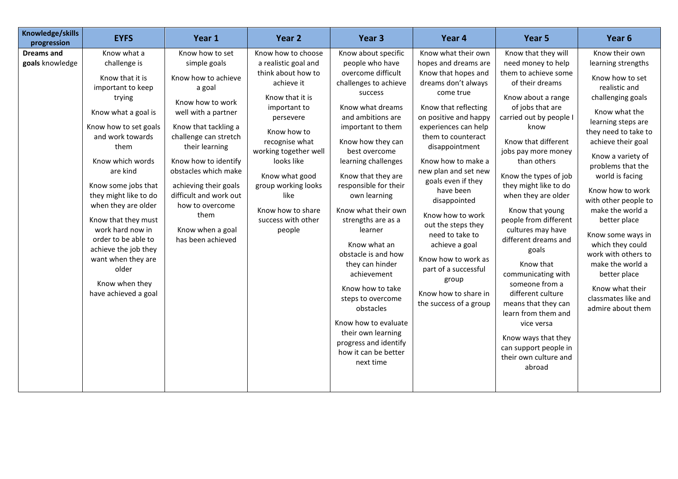| Knowledge/skills<br>progression      | <b>EYFS</b>                                                                                                                                                                                                                                                                                                                                                                                                                         | Year 1                                                                                                                                                                                                                                                                                                                                                | Year <sub>2</sub>                                                                                                                                                                                                                                                                                            | Year <sub>3</sub>                                                                                                                                                                                                                                                                                                                                                                                                                                                                 | Year 4                                                                                                                                                                                                                                                                                                                                                                                                                                                                                                            | Year 5                                                                                                                                                                                                                                                                                                                                                                                                                                                                                                     | Year 6                                                                                                                                                                                                                                                                                                                                                                                                                                                                                             |
|--------------------------------------|-------------------------------------------------------------------------------------------------------------------------------------------------------------------------------------------------------------------------------------------------------------------------------------------------------------------------------------------------------------------------------------------------------------------------------------|-------------------------------------------------------------------------------------------------------------------------------------------------------------------------------------------------------------------------------------------------------------------------------------------------------------------------------------------------------|--------------------------------------------------------------------------------------------------------------------------------------------------------------------------------------------------------------------------------------------------------------------------------------------------------------|-----------------------------------------------------------------------------------------------------------------------------------------------------------------------------------------------------------------------------------------------------------------------------------------------------------------------------------------------------------------------------------------------------------------------------------------------------------------------------------|-------------------------------------------------------------------------------------------------------------------------------------------------------------------------------------------------------------------------------------------------------------------------------------------------------------------------------------------------------------------------------------------------------------------------------------------------------------------------------------------------------------------|------------------------------------------------------------------------------------------------------------------------------------------------------------------------------------------------------------------------------------------------------------------------------------------------------------------------------------------------------------------------------------------------------------------------------------------------------------------------------------------------------------|----------------------------------------------------------------------------------------------------------------------------------------------------------------------------------------------------------------------------------------------------------------------------------------------------------------------------------------------------------------------------------------------------------------------------------------------------------------------------------------------------|
| <b>Dreams and</b><br>goals knowledge | Know what a<br>challenge is<br>Know that it is<br>important to keep<br>trying<br>Know what a goal is<br>Know how to set goals<br>and work towards<br>them<br>Know which words<br>are kind<br>Know some jobs that<br>they might like to do<br>when they are older<br>Know that they must<br>work hard now in<br>order to be able to<br>achieve the job they<br>want when they are<br>older<br>Know when they<br>have achieved a goal | Know how to set<br>simple goals<br>Know how to achieve<br>a goal<br>Know how to work<br>well with a partner<br>Know that tackling a<br>challenge can stretch<br>their learning<br>Know how to identify<br>obstacles which make<br>achieving their goals<br>difficult and work out<br>how to overcome<br>them<br>Know when a goal<br>has been achieved | Know how to choose<br>a realistic goal and<br>think about how to<br>achieve it<br>Know that it is<br>important to<br>persevere<br>Know how to<br>recognise what<br>working together well<br>looks like<br>Know what good<br>group working looks<br>like<br>Know how to share<br>success with other<br>people | Know about specific<br>people who have<br>overcome difficult<br>challenges to achieve<br>success<br>Know what dreams<br>and ambitions are<br>important to them<br>Know how they can<br>best overcome<br>learning challenges<br>Know that they are<br>responsible for their<br>own learning<br>Know what their own<br>strengths are as a<br>learner<br>Know what an<br>obstacle is and how<br>they can hinder<br>achievement<br>Know how to take<br>steps to overcome<br>obstacles | Know what their own<br>hopes and dreams are<br>Know that hopes and<br>dreams don't always<br>come true<br>Know that reflecting<br>on positive and happy<br>experiences can help<br>them to counteract<br>disappointment<br>Know how to make a<br>new plan and set new<br>goals even if they<br>have been<br>disappointed<br>Know how to work<br>out the steps they<br>need to take to<br>achieve a goal<br>Know how to work as<br>part of a successful<br>group<br>Know how to share in<br>the success of a group | Know that they will<br>need money to help<br>them to achieve some<br>of their dreams<br>Know about a range<br>of jobs that are<br>carried out by people I<br>know<br>Know that different<br>jobs pay more money<br>than others<br>Know the types of job<br>they might like to do<br>when they are older<br>Know that young<br>people from different<br>cultures may have<br>different dreams and<br>goals<br>Know that<br>communicating with<br>someone from a<br>different culture<br>means that they can | Know their own<br>learning strengths<br>Know how to set<br>realistic and<br>challenging goals<br>Know what the<br>learning steps are<br>they need to take to<br>achieve their goal<br>Know a variety of<br>problems that the<br>world is facing<br>Know how to work<br>with other people to<br>make the world a<br>better place<br>Know some ways in<br>which they could<br>work with others to<br>make the world a<br>better place<br>Know what their<br>classmates like and<br>admire about them |
|                                      |                                                                                                                                                                                                                                                                                                                                                                                                                                     |                                                                                                                                                                                                                                                                                                                                                       |                                                                                                                                                                                                                                                                                                              | Know how to evaluate<br>their own learning<br>progress and identify<br>how it can be better<br>next time                                                                                                                                                                                                                                                                                                                                                                          |                                                                                                                                                                                                                                                                                                                                                                                                                                                                                                                   | learn from them and<br>vice versa<br>Know ways that they<br>can support people in<br>their own culture and<br>abroad                                                                                                                                                                                                                                                                                                                                                                                       |                                                                                                                                                                                                                                                                                                                                                                                                                                                                                                    |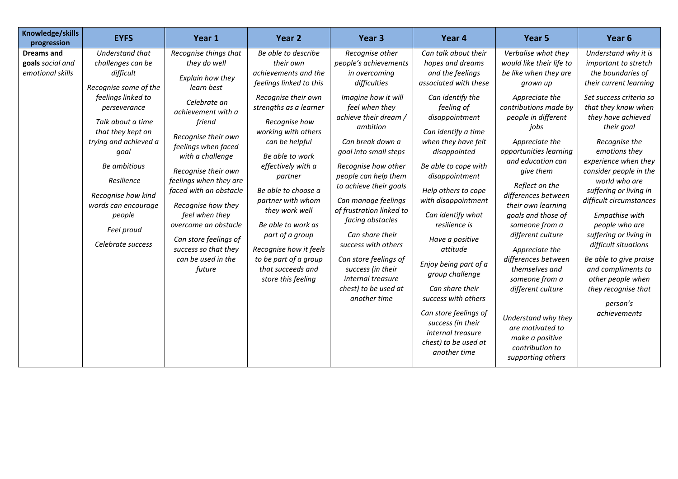| Knowledge/skills<br>progression                           | <b>EYFS</b>                                                                                                                                                                                                                                                                                                         | Year 1                                                                                                                                                                                                                                                                                                                                                                                                                | Year 2                                                                                                                                                                                                                                                                                                                                                                                                                                                  | Year <sub>3</sub>                                                                                                                                                                                                                                                                                                                                                                                                                                                                                         | Year 4                                                                                                                                                                                                                                                                                                                                                                                                                                                                                                                                                                | Year <sub>5</sub>                                                                                                                                                                                                                                                                                                                                                                                                                                                                                                                                                                | Year <sub>6</sub>                                                                                                                                                                                                                                                                                                                                                                                                                                                                                                                                         |
|-----------------------------------------------------------|---------------------------------------------------------------------------------------------------------------------------------------------------------------------------------------------------------------------------------------------------------------------------------------------------------------------|-----------------------------------------------------------------------------------------------------------------------------------------------------------------------------------------------------------------------------------------------------------------------------------------------------------------------------------------------------------------------------------------------------------------------|---------------------------------------------------------------------------------------------------------------------------------------------------------------------------------------------------------------------------------------------------------------------------------------------------------------------------------------------------------------------------------------------------------------------------------------------------------|-----------------------------------------------------------------------------------------------------------------------------------------------------------------------------------------------------------------------------------------------------------------------------------------------------------------------------------------------------------------------------------------------------------------------------------------------------------------------------------------------------------|-----------------------------------------------------------------------------------------------------------------------------------------------------------------------------------------------------------------------------------------------------------------------------------------------------------------------------------------------------------------------------------------------------------------------------------------------------------------------------------------------------------------------------------------------------------------------|----------------------------------------------------------------------------------------------------------------------------------------------------------------------------------------------------------------------------------------------------------------------------------------------------------------------------------------------------------------------------------------------------------------------------------------------------------------------------------------------------------------------------------------------------------------------------------|-----------------------------------------------------------------------------------------------------------------------------------------------------------------------------------------------------------------------------------------------------------------------------------------------------------------------------------------------------------------------------------------------------------------------------------------------------------------------------------------------------------------------------------------------------------|
| <b>Dreams and</b><br>goals social and<br>emotional skills | Understand that<br>challenges can be<br>difficult<br>Recognise some of the<br>feelings linked to<br>perseverance<br>Talk about a time<br>that they kept on<br>trying and achieved a<br>goal<br>Be ambitious<br>Resilience<br>Recognise how kind<br>words can encourage<br>people<br>Feel proud<br>Celebrate success | Recognise things that<br>they do well<br>Explain how they<br>learn best<br>Celebrate an<br>achievement with a<br>friend<br>Recognise their own<br>feelings when faced<br>with a challenge<br>Recognise their own<br>feelings when they are<br>faced with an obstacle<br>Recognise how they<br>feel when they<br>overcome an obstacle<br>Can store feelings of<br>success so that they<br>can be used in the<br>future | Be able to describe<br>their own<br>achievements and the<br>feelings linked to this<br>Recognise their own<br>strengths as a learner<br>Recognise how<br>working with others<br>can be helpful<br>Be able to work<br>effectively with a<br>partner<br>Be able to choose a<br>partner with whom<br>they work well<br>Be able to work as<br>part of a group<br>Recognise how it feels<br>to be part of a group<br>that succeeds and<br>store this feeling | Recognise other<br>people's achievements<br>in overcoming<br>difficulties<br>Imagine how it will<br>feel when they<br>achieve their dream /<br>ambition<br>Can break down a<br>goal into small steps<br>Recognise how other<br>people can help them<br>to achieve their goals<br>Can manage feelings<br>of frustration linked to<br>facing obstacles<br>Can share their<br>success with others<br>Can store feelings of<br>success (in their<br>internal treasure<br>chest) to be used at<br>another time | Can talk about their<br>hopes and dreams<br>and the feelings<br>associated with these<br>Can identify the<br>feeling of<br>disappointment<br>Can identify a time<br>when they have felt<br>disappointed<br>Be able to cope with<br>disappointment<br>Help others to cope<br>with disappointment<br>Can identify what<br>resilience is<br>Have a positive<br>attitude<br>Enjoy being part of a<br>group challenge<br>Can share their<br>success with others<br>Can store feelings of<br>success (in their<br>internal treasure<br>chest) to be used at<br>another time | Verbalise what they<br>would like their life to<br>be like when they are<br>grown up<br>Appreciate the<br>contributions made by<br>people in different<br>iobs<br>Appreciate the<br>opportunities learning<br>and education can<br>give them<br>Reflect on the<br>differences between<br>their own learning<br>goals and those of<br>someone from a<br>different culture<br>Appreciate the<br>differences between<br>themselves and<br>someone from a<br>different culture<br>Understand why they<br>are motivated to<br>make a positive<br>contribution to<br>supporting others | Understand why it is<br>important to stretch<br>the boundaries of<br>their current learning<br>Set success criteria so<br>that they know when<br>they have achieved<br>their goal<br>Recognise the<br>emotions they<br>experience when they<br>consider people in the<br>world who are<br>suffering or living in<br>difficult circumstances<br>Empathise with<br>people who are<br>suffering or living in<br>difficult situations<br>Be able to give praise<br>and compliments to<br>other people when<br>they recognise that<br>person's<br>achievements |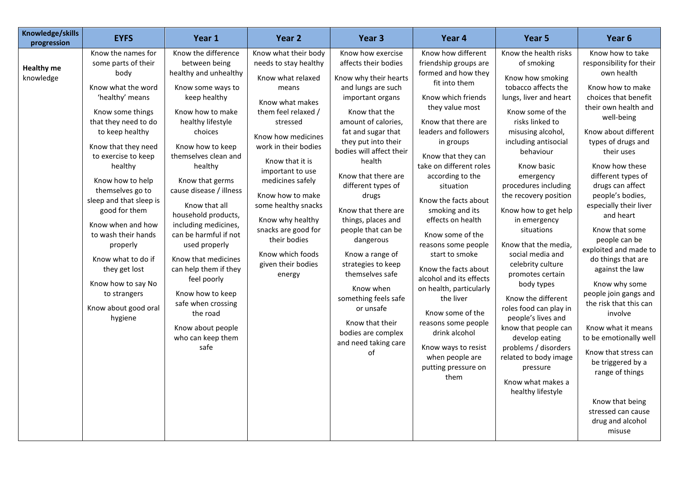| Knowledge/skills<br>progression | <b>EYFS</b>                                                                                                                                                                                                                                                                                                                                                                                                                                                                    | Year 1                                                                                                                                                                                                                                                                                                                                                                                                                                                                                                                                       | Year 2                                                                                                                                                                                                                                                                                                                                                                                               | Year 3                                                                                                                                                                                                                                                                                                                                                                                                                                                                                                                                                             | Year 4                                                                                                                                                                                                                                                                                                                                                                                                                                                                                                                                                                                                                                   | Year 5                                                                                                                                                                                                                                                                                                                                                                                                                                                                                                                                                                                                                                                                | Year 6                                                                                                                                                                                                                                                                                                                                                                                                                                                                                                                                                                                                                                                                                                     |
|---------------------------------|--------------------------------------------------------------------------------------------------------------------------------------------------------------------------------------------------------------------------------------------------------------------------------------------------------------------------------------------------------------------------------------------------------------------------------------------------------------------------------|----------------------------------------------------------------------------------------------------------------------------------------------------------------------------------------------------------------------------------------------------------------------------------------------------------------------------------------------------------------------------------------------------------------------------------------------------------------------------------------------------------------------------------------------|------------------------------------------------------------------------------------------------------------------------------------------------------------------------------------------------------------------------------------------------------------------------------------------------------------------------------------------------------------------------------------------------------|--------------------------------------------------------------------------------------------------------------------------------------------------------------------------------------------------------------------------------------------------------------------------------------------------------------------------------------------------------------------------------------------------------------------------------------------------------------------------------------------------------------------------------------------------------------------|------------------------------------------------------------------------------------------------------------------------------------------------------------------------------------------------------------------------------------------------------------------------------------------------------------------------------------------------------------------------------------------------------------------------------------------------------------------------------------------------------------------------------------------------------------------------------------------------------------------------------------------|-----------------------------------------------------------------------------------------------------------------------------------------------------------------------------------------------------------------------------------------------------------------------------------------------------------------------------------------------------------------------------------------------------------------------------------------------------------------------------------------------------------------------------------------------------------------------------------------------------------------------------------------------------------------------|------------------------------------------------------------------------------------------------------------------------------------------------------------------------------------------------------------------------------------------------------------------------------------------------------------------------------------------------------------------------------------------------------------------------------------------------------------------------------------------------------------------------------------------------------------------------------------------------------------------------------------------------------------------------------------------------------------|
| <b>Healthy me</b><br>knowledge  | Know the names for<br>some parts of their<br>body<br>Know what the word<br>'healthy' means<br>Know some things<br>that they need to do<br>to keep healthy<br>Know that they need<br>to exercise to keep<br>healthy<br>Know how to help<br>themselves go to<br>sleep and that sleep is<br>good for them<br>Know when and how<br>to wash their hands<br>properly<br>Know what to do if<br>they get lost<br>Know how to say No<br>to strangers<br>Know about good oral<br>hygiene | Know the difference<br>between being<br>healthy and unhealthy<br>Know some ways to<br>keep healthy<br>Know how to make<br>healthy lifestyle<br>choices<br>Know how to keep<br>themselves clean and<br>healthy<br>Know that germs<br>cause disease / illness<br>Know that all<br>household products,<br>including medicines,<br>can be harmful if not<br>used properly<br>Know that medicines<br>can help them if they<br>feel poorly<br>Know how to keep<br>safe when crossing<br>the road<br>Know about people<br>who can keep them<br>safe | Know what their body<br>needs to stay healthy<br>Know what relaxed<br>means<br>Know what makes<br>them feel relaxed /<br>stressed<br>Know how medicines<br>work in their bodies<br>Know that it is<br>important to use<br>medicines safely<br>Know how to make<br>some healthy snacks<br>Know why healthy<br>snacks are good for<br>their bodies<br>Know which foods<br>given their bodies<br>energy | Know how exercise<br>affects their bodies<br>Know why their hearts<br>and lungs are such<br>important organs<br>Know that the<br>amount of calories,<br>fat and sugar that<br>they put into their<br>bodies will affect their<br>health<br>Know that there are<br>different types of<br>drugs<br>Know that there are<br>things, places and<br>people that can be<br>dangerous<br>Know a range of<br>strategies to keep<br>themselves safe<br>Know when<br>something feels safe<br>or unsafe<br>Know that their<br>bodies are complex<br>and need taking care<br>of | Know how different<br>friendship groups are<br>formed and how they<br>fit into them<br>Know which friends<br>they value most<br>Know that there are<br>leaders and followers<br>in groups<br>Know that they can<br>take on different roles<br>according to the<br>situation<br>Know the facts about<br>smoking and its<br>effects on health<br>Know some of the<br>reasons some people<br>start to smoke<br>Know the facts about<br>alcohol and its effects<br>on health, particularly<br>the liver<br>Know some of the<br>reasons some people<br>drink alcohol<br>Know ways to resist<br>when people are<br>putting pressure on<br>them | Know the health risks<br>of smoking<br>Know how smoking<br>tobacco affects the<br>lungs, liver and heart<br>Know some of the<br>risks linked to<br>misusing alcohol,<br>including antisocial<br>behaviour<br>Know basic<br>emergency<br>procedures including<br>the recovery position<br>Know how to get help<br>in emergency<br>situations<br>Know that the media,<br>social media and<br>celebrity culture<br>promotes certain<br>body types<br>Know the different<br>roles food can play in<br>people's lives and<br>know that people can<br>develop eating<br>problems / disorders<br>related to body image<br>pressure<br>Know what makes a<br>healthy lifestyle | Know how to take<br>responsibility for their<br>own health<br>Know how to make<br>choices that benefit<br>their own health and<br>well-being<br>Know about different<br>types of drugs and<br>their uses<br>Know how these<br>different types of<br>drugs can affect<br>people's bodies,<br>especially their liver<br>and heart<br>Know that some<br>people can be<br>exploited and made to<br>do things that are<br>against the law<br>Know why some<br>people join gangs and<br>the risk that this can<br>involve<br>Know what it means<br>to be emotionally well<br>Know that stress can<br>be triggered by a<br>range of things<br>Know that being<br>stressed can cause<br>drug and alcohol<br>misuse |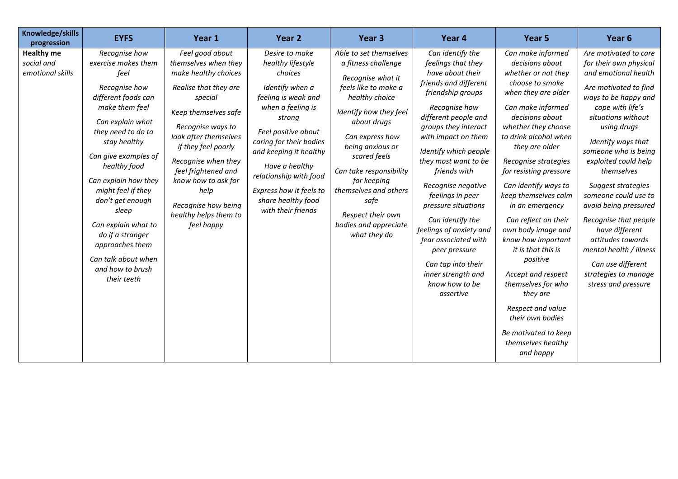| Knowledge/skills<br>progression                     | <b>EYFS</b>                                                                                                                                                                                                                                                                                                                                                                                                 | Year 1                                                                                                                                                                                                                                                                                                                                      | Year <sub>2</sub>                                                                                                                                                                                                                                                                                                      | Year <sub>3</sub>                                                                                                                                                                                                                                                                                                                                     | Year 4                                                                                                                                                                                                                                                                                                                                                                                                                                                                                                | Year 5                                                                                                                                                                                                                                                                                                                                                                                                                                                                                                                                                                                                 | Year <sub>6</sub>                                                                                                                                                                                                                                                                                                                                                                                                                                                                                           |
|-----------------------------------------------------|-------------------------------------------------------------------------------------------------------------------------------------------------------------------------------------------------------------------------------------------------------------------------------------------------------------------------------------------------------------------------------------------------------------|---------------------------------------------------------------------------------------------------------------------------------------------------------------------------------------------------------------------------------------------------------------------------------------------------------------------------------------------|------------------------------------------------------------------------------------------------------------------------------------------------------------------------------------------------------------------------------------------------------------------------------------------------------------------------|-------------------------------------------------------------------------------------------------------------------------------------------------------------------------------------------------------------------------------------------------------------------------------------------------------------------------------------------------------|-------------------------------------------------------------------------------------------------------------------------------------------------------------------------------------------------------------------------------------------------------------------------------------------------------------------------------------------------------------------------------------------------------------------------------------------------------------------------------------------------------|--------------------------------------------------------------------------------------------------------------------------------------------------------------------------------------------------------------------------------------------------------------------------------------------------------------------------------------------------------------------------------------------------------------------------------------------------------------------------------------------------------------------------------------------------------------------------------------------------------|-------------------------------------------------------------------------------------------------------------------------------------------------------------------------------------------------------------------------------------------------------------------------------------------------------------------------------------------------------------------------------------------------------------------------------------------------------------------------------------------------------------|
| <b>Healthy me</b><br>social and<br>emotional skills | Recognise how<br>exercise makes them<br>feel<br>Recognise how<br>different foods can<br>make them feel<br>Can explain what<br>they need to do to<br>stay healthy<br>Can give examples of<br>healthy food<br>Can explain how they<br>might feel if they<br>don't get enough<br>sleep<br>Can explain what to<br>do if a stranger<br>approaches them<br>Can talk about when<br>and how to brush<br>their teeth | Feel good about<br>themselves when they<br>make healthy choices<br>Realise that they are<br>special<br>Keep themselves safe<br>Recognise ways to<br>look after themselves<br>if they feel poorly<br>Recognise when they<br>feel frightened and<br>know how to ask for<br>help<br>Recognise how being<br>healthy helps them to<br>feel happy | Desire to make<br>healthy lifestyle<br>choices<br>Identify when a<br>feeling is weak and<br>when a feeling is<br>strong<br>Feel positive about<br>caring for their bodies<br>and keeping it healthy<br>Have a healthy<br>relationship with food<br>Express how it feels to<br>share healthy food<br>with their friends | Able to set themselves<br>a fitness challenge<br>Recognise what it<br>feels like to make a<br>healthy choice<br>Identify how they feel<br>about drugs<br>Can express how<br>being anxious or<br>scared feels<br>Can take responsibility<br>for keeping<br>themselves and others<br>safe<br>Respect their own<br>bodies and appreciate<br>what they do | Can identify the<br>feelings that they<br>have about their<br>friends and different<br>friendship groups<br>Recognise how<br>different people and<br>groups they interact<br>with impact on them<br>Identify which people<br>they most want to be<br>friends with<br>Recognise negative<br>feelings in peer<br>pressure situations<br>Can identify the<br>feelings of anxiety and<br>fear associated with<br>peer pressure<br>Can tap into their<br>inner strength and<br>know how to be<br>assertive | Can make informed<br>decisions about<br>whether or not they<br>choose to smoke<br>when they are older<br>Can make informed<br>decisions about<br>whether they choose<br>to drink alcohol when<br>they are older<br>Recognise strategies<br>for resisting pressure<br>Can identify ways to<br>keep themselves calm<br>in an emergency<br>Can reflect on their<br>own body image and<br>know how important<br>it is that this is<br>positive<br>Accept and respect<br>themselves for who<br>they are<br>Respect and value<br>their own bodies<br>Be motivated to keep<br>themselves healthy<br>and happy | Are motivated to care<br>for their own physical<br>and emotional health<br>Are motivated to find<br>ways to be happy and<br>cope with life's<br>situations without<br>using drugs<br>Identify ways that<br>someone who is being<br>exploited could help<br>themselves<br>Suggest strategies<br>someone could use to<br>avoid being pressured<br>Recognise that people<br>have different<br>attitudes towards<br>mental health / illness<br>Can use different<br>strategies to manage<br>stress and pressure |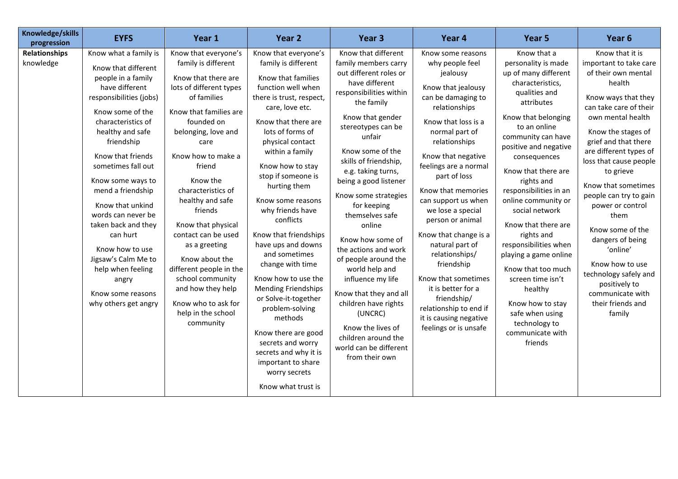| Knowledge/skills<br>progression   | <b>EYFS</b>                                                                                                                                                                                                                                                                                                                                                                                                                                                                        | Year 1                                                                                                                                                                                                                                                                                                                                                                                                                                                                                             | Year <sub>2</sub>                                                                                                                                                                                                                                                                                                                                                                                                                                                                                                                                                                                                                                                         | Year <sub>3</sub>                                                                                                                                                                                                                                                                                                                                                                                                                                                                                                                                                                                                    | Year 4                                                                                                                                                                                                                                                                                                                                                                                                                                                                                                                                            | Year 5                                                                                                                                                                                                                                                                                                                                                                                                                                                                                                                                                          | Year <sub>6</sub>                                                                                                                                                                                                                                                                                                                                                                                                                                                                                                |
|-----------------------------------|------------------------------------------------------------------------------------------------------------------------------------------------------------------------------------------------------------------------------------------------------------------------------------------------------------------------------------------------------------------------------------------------------------------------------------------------------------------------------------|----------------------------------------------------------------------------------------------------------------------------------------------------------------------------------------------------------------------------------------------------------------------------------------------------------------------------------------------------------------------------------------------------------------------------------------------------------------------------------------------------|---------------------------------------------------------------------------------------------------------------------------------------------------------------------------------------------------------------------------------------------------------------------------------------------------------------------------------------------------------------------------------------------------------------------------------------------------------------------------------------------------------------------------------------------------------------------------------------------------------------------------------------------------------------------------|----------------------------------------------------------------------------------------------------------------------------------------------------------------------------------------------------------------------------------------------------------------------------------------------------------------------------------------------------------------------------------------------------------------------------------------------------------------------------------------------------------------------------------------------------------------------------------------------------------------------|---------------------------------------------------------------------------------------------------------------------------------------------------------------------------------------------------------------------------------------------------------------------------------------------------------------------------------------------------------------------------------------------------------------------------------------------------------------------------------------------------------------------------------------------------|-----------------------------------------------------------------------------------------------------------------------------------------------------------------------------------------------------------------------------------------------------------------------------------------------------------------------------------------------------------------------------------------------------------------------------------------------------------------------------------------------------------------------------------------------------------------|------------------------------------------------------------------------------------------------------------------------------------------------------------------------------------------------------------------------------------------------------------------------------------------------------------------------------------------------------------------------------------------------------------------------------------------------------------------------------------------------------------------|
| <b>Relationships</b><br>knowledge | Know what a family is<br>Know that different<br>people in a family<br>have different<br>responsibilities (jobs)<br>Know some of the<br>characteristics of<br>healthy and safe<br>friendship<br>Know that friends<br>sometimes fall out<br>Know some ways to<br>mend a friendship<br>Know that unkind<br>words can never be<br>taken back and they<br>can hurt<br>Know how to use<br>Jigsaw's Calm Me to<br>help when feeling<br>angry<br>Know some reasons<br>why others get angry | Know that everyone's<br>family is different<br>Know that there are<br>lots of different types<br>of families<br>Know that families are<br>founded on<br>belonging, love and<br>care<br>Know how to make a<br>friend<br>Know the<br>characteristics of<br>healthy and safe<br>friends<br>Know that physical<br>contact can be used<br>as a greeting<br>Know about the<br>different people in the<br>school community<br>and how they help<br>Know who to ask for<br>help in the school<br>community | Know that everyone's<br>family is different<br>Know that families<br>function well when<br>there is trust, respect,<br>care, love etc.<br>Know that there are<br>lots of forms of<br>physical contact<br>within a family<br>Know how to stay<br>stop if someone is<br>hurting them<br>Know some reasons<br>why friends have<br>conflicts<br>Know that friendships<br>have ups and downs<br>and sometimes<br>change with time<br>Know how to use the<br><b>Mending Friendships</b><br>or Solve-it-together<br>problem-solving<br>methods<br>Know there are good<br>secrets and worry<br>secrets and why it is<br>important to share<br>worry secrets<br>Know what trust is | Know that different<br>family members carry<br>out different roles or<br>have different<br>responsibilities within<br>the family<br>Know that gender<br>stereotypes can be<br>unfair<br>Know some of the<br>skills of friendship,<br>e.g. taking turns,<br>being a good listener<br>Know some strategies<br>for keeping<br>themselves safe<br>online<br>Know how some of<br>the actions and work<br>of people around the<br>world help and<br>influence my life<br>Know that they and all<br>children have rights<br>(UNCRC)<br>Know the lives of<br>children around the<br>world can be different<br>from their own | Know some reasons<br>why people feel<br>jealousy<br>Know that jealousy<br>can be damaging to<br>relationships<br>Know that loss is a<br>normal part of<br>relationships<br>Know that negative<br>feelings are a normal<br>part of loss<br>Know that memories<br>can support us when<br>we lose a special<br>person or animal<br>Know that change is a<br>natural part of<br>relationships/<br>friendship<br>Know that sometimes<br>it is better for a<br>friendship/<br>relationship to end if<br>it is causing negative<br>feelings or is unsafe | Know that a<br>personality is made<br>up of many different<br>characteristics,<br>qualities and<br>attributes<br>Know that belonging<br>to an online<br>community can have<br>positive and negative<br>consequences<br>Know that there are<br>rights and<br>responsibilities in an<br>online community or<br>social network<br>Know that there are<br>rights and<br>responsibilities when<br>playing a game online<br>Know that too much<br>screen time isn't<br>healthy<br>Know how to stay<br>safe when using<br>technology to<br>communicate with<br>friends | Know that it is<br>important to take care<br>of their own mental<br>health<br>Know ways that they<br>can take care of their<br>own mental health<br>Know the stages of<br>grief and that there<br>are different types of<br>loss that cause people<br>to grieve<br>Know that sometimes<br>people can try to gain<br>power or control<br>them<br>Know some of the<br>dangers of being<br>'online'<br>Know how to use<br>technology safely and<br>positively to<br>communicate with<br>their friends and<br>family |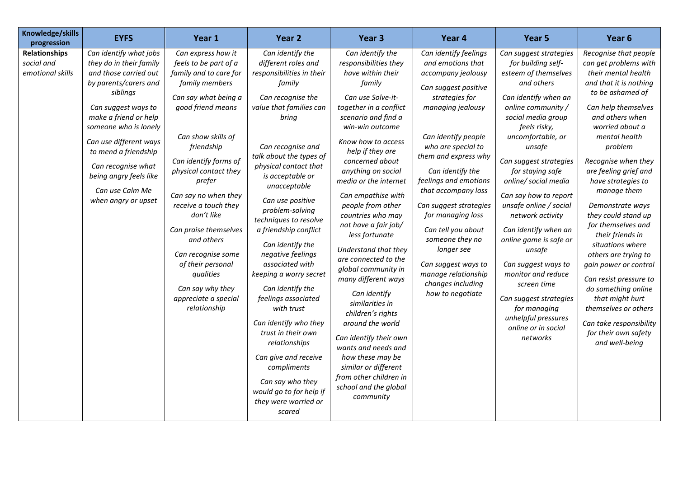| Knowledge/skills<br>progression                        | <b>EYFS</b>                                                                                                                                                                                                                                                                                                                          | Year 1                                                                                                                                                                                                                                                                                                                                                                                                                                                        | Year <sub>2</sub>                                                                                                                                                                                                                                                                                                                                                                                                                                                                                                                                                                                                                                                                    | Year <sub>3</sub>                                                                                                                                                                                                                                                                                                                                                                                                                                                                                                                                                                                                                                                                                                              | Year 4                                                                                                                                                                                                                                                                                                                                                                                                                                                                | Year 5                                                                                                                                                                                                                                                                                                                                                                                                                                                                                                                                                                         | Year <sub>6</sub>                                                                                                                                                                                                                                                                                                                                                                                                                                                                                                                                                                                                            |
|--------------------------------------------------------|--------------------------------------------------------------------------------------------------------------------------------------------------------------------------------------------------------------------------------------------------------------------------------------------------------------------------------------|---------------------------------------------------------------------------------------------------------------------------------------------------------------------------------------------------------------------------------------------------------------------------------------------------------------------------------------------------------------------------------------------------------------------------------------------------------------|--------------------------------------------------------------------------------------------------------------------------------------------------------------------------------------------------------------------------------------------------------------------------------------------------------------------------------------------------------------------------------------------------------------------------------------------------------------------------------------------------------------------------------------------------------------------------------------------------------------------------------------------------------------------------------------|--------------------------------------------------------------------------------------------------------------------------------------------------------------------------------------------------------------------------------------------------------------------------------------------------------------------------------------------------------------------------------------------------------------------------------------------------------------------------------------------------------------------------------------------------------------------------------------------------------------------------------------------------------------------------------------------------------------------------------|-----------------------------------------------------------------------------------------------------------------------------------------------------------------------------------------------------------------------------------------------------------------------------------------------------------------------------------------------------------------------------------------------------------------------------------------------------------------------|--------------------------------------------------------------------------------------------------------------------------------------------------------------------------------------------------------------------------------------------------------------------------------------------------------------------------------------------------------------------------------------------------------------------------------------------------------------------------------------------------------------------------------------------------------------------------------|------------------------------------------------------------------------------------------------------------------------------------------------------------------------------------------------------------------------------------------------------------------------------------------------------------------------------------------------------------------------------------------------------------------------------------------------------------------------------------------------------------------------------------------------------------------------------------------------------------------------------|
| <b>Relationships</b><br>social and<br>emotional skills | Can identify what jobs<br>they do in their family<br>and those carried out<br>by parents/carers and<br>siblings<br>Can suggest ways to<br>make a friend or help<br>someone who is lonely<br>Can use different ways<br>to mend a friendship<br>Can recognise what<br>being angry feels like<br>Can use Calm Me<br>when angry or upset | Can express how it<br>feels to be part of a<br>family and to care for<br>family members<br>Can say what being a<br>good friend means<br>Can show skills of<br>friendship<br>Can identify forms of<br>physical contact they<br>prefer<br>Can say no when they<br>receive a touch they<br>don't like<br>Can praise themselves<br>and others<br>Can recognise some<br>of their personal<br>qualities<br>Can say why they<br>appreciate a special<br>relationship | Can identify the<br>different roles and<br>responsibilities in their<br>family<br>Can recognise the<br>value that families can<br>bring<br>Can recognise and<br>talk about the types of<br>physical contact that<br>is acceptable or<br>unacceptable<br>Can use positive<br>problem-solving<br>techniques to resolve<br>a friendship conflict<br>Can identify the<br>negative feelings<br>associated with<br>keeping a worry secret<br>Can identify the<br>feelings associated<br>with trust<br>Can identify who they<br>trust in their own<br>relationships<br>Can give and receive<br>compliments<br>Can say who they<br>would go to for help if<br>they were worried or<br>scared | Can identify the<br>responsibilities they<br>have within their<br>family<br>Can use Solve-it-<br>together in a conflict<br>scenario and find a<br>win-win outcome<br>Know how to access<br>help if they are<br>concerned about<br>anything on social<br>media or the internet<br>Can empathise with<br>people from other<br>countries who may<br>not have a fair job/<br>less fortunate<br>Understand that they<br>are connected to the<br>global community in<br>many different ways<br>Can identify<br>similarities in<br>children's rights<br>around the world<br>Can identify their own<br>wants and needs and<br>how these may be<br>similar or different<br>from other children in<br>school and the global<br>community | Can identify feelings<br>and emotions that<br>accompany jealousy<br>Can suggest positive<br>strategies for<br>managing jealousy<br>Can identify people<br>who are special to<br>them and express why<br>Can identify the<br>feelings and emotions<br>that accompany loss<br>Can suggest strategies<br>for managing loss<br>Can tell you about<br>someone they no<br>longer see<br>Can suggest ways to<br>manage relationship<br>changes including<br>how to negotiate | Can suggest strategies<br>for building self-<br>esteem of themselves<br>and others<br>Can identify when an<br>online community /<br>social media group<br>feels risky,<br>uncomfortable, or<br>unsafe<br>Can suggest strategies<br>for staying safe<br>online/ social media<br>Can say how to report<br>unsafe online / social<br>network activity<br>Can identify when an<br>online game is safe or<br>unsafe<br>Can suggest ways to<br>monitor and reduce<br>screen time<br>Can suggest strategies<br>for managing<br>unhelpful pressures<br>online or in social<br>networks | Recognise that people<br>can get problems with<br>their mental health<br>and that it is nothing<br>to be ashamed of<br>Can help themselves<br>and others when<br>worried about a<br>mental health<br>problem<br>Recognise when they<br>are feeling grief and<br>have strategies to<br>manage them<br>Demonstrate ways<br>they could stand up<br>for themselves and<br>their friends in<br>situations where<br>others are trying to<br>gain power or control<br>Can resist pressure to<br>do something online<br>that might hurt<br>themselves or others<br>Can take responsibility<br>for their own safety<br>and well-being |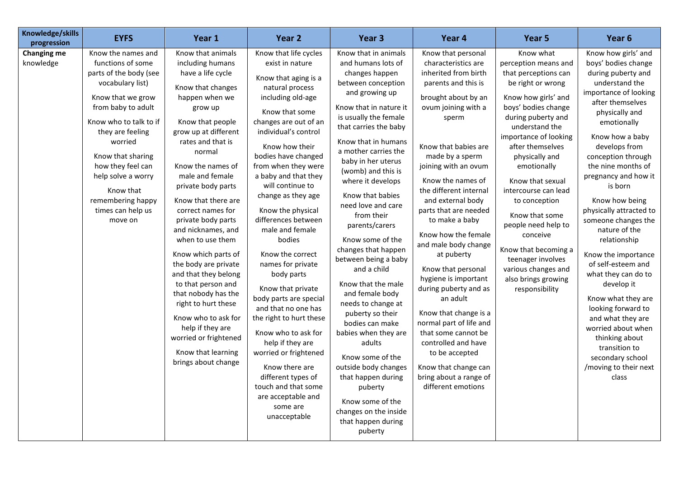| Knowledge/skills<br>progression | <b>EYFS</b>                                                                                                                                                                                                                                                                                                                 | Year 1                                                                                                                                                                                                                                                                                                                                                                                                                                                                                                                                                                                                                        | Year <sub>2</sub>                                                                                                                                                                                                                                                                                                                                                                                                                                                                                                                                                                                                                                                                                                                   | Year <sub>3</sub>                                                                                                                                                                                                                                                                                                                                                                                                                                                                                                                                                                                                                                                                                                                                               | Year 4                                                                                                                                                                                                                                                                                                                                                                                                                                                                                                                                                                                                                                                                        | Year 5                                                                                                                                                                                                                                                                                                                                                                                                                                                                            | Year <sub>6</sub>                                                                                                                                                                                                                                                                                                                                                                                                                                                                                                                                                                                                                                          |
|---------------------------------|-----------------------------------------------------------------------------------------------------------------------------------------------------------------------------------------------------------------------------------------------------------------------------------------------------------------------------|-------------------------------------------------------------------------------------------------------------------------------------------------------------------------------------------------------------------------------------------------------------------------------------------------------------------------------------------------------------------------------------------------------------------------------------------------------------------------------------------------------------------------------------------------------------------------------------------------------------------------------|-------------------------------------------------------------------------------------------------------------------------------------------------------------------------------------------------------------------------------------------------------------------------------------------------------------------------------------------------------------------------------------------------------------------------------------------------------------------------------------------------------------------------------------------------------------------------------------------------------------------------------------------------------------------------------------------------------------------------------------|-----------------------------------------------------------------------------------------------------------------------------------------------------------------------------------------------------------------------------------------------------------------------------------------------------------------------------------------------------------------------------------------------------------------------------------------------------------------------------------------------------------------------------------------------------------------------------------------------------------------------------------------------------------------------------------------------------------------------------------------------------------------|-------------------------------------------------------------------------------------------------------------------------------------------------------------------------------------------------------------------------------------------------------------------------------------------------------------------------------------------------------------------------------------------------------------------------------------------------------------------------------------------------------------------------------------------------------------------------------------------------------------------------------------------------------------------------------|-----------------------------------------------------------------------------------------------------------------------------------------------------------------------------------------------------------------------------------------------------------------------------------------------------------------------------------------------------------------------------------------------------------------------------------------------------------------------------------|------------------------------------------------------------------------------------------------------------------------------------------------------------------------------------------------------------------------------------------------------------------------------------------------------------------------------------------------------------------------------------------------------------------------------------------------------------------------------------------------------------------------------------------------------------------------------------------------------------------------------------------------------------|
| <b>Changing me</b><br>knowledge | Know the names and<br>functions of some<br>parts of the body (see<br>vocabulary list)<br>Know that we grow<br>from baby to adult<br>Know who to talk to if<br>they are feeling<br>worried<br>Know that sharing<br>how they feel can<br>help solve a worry<br>Know that<br>remembering happy<br>times can help us<br>move on | Know that animals<br>including humans<br>have a life cycle<br>Know that changes<br>happen when we<br>grow up<br>Know that people<br>grow up at different<br>rates and that is<br>normal<br>Know the names of<br>male and female<br>private body parts<br>Know that there are<br>correct names for<br>private body parts<br>and nicknames, and<br>when to use them<br>Know which parts of<br>the body are private<br>and that they belong<br>to that person and<br>that nobody has the<br>right to hurt these<br>Know who to ask for<br>help if they are<br>worried or frightened<br>Know that learning<br>brings about change | Know that life cycles<br>exist in nature<br>Know that aging is a<br>natural process<br>including old-age<br>Know that some<br>changes are out of an<br>individual's control<br>Know how their<br>bodies have changed<br>from when they were<br>a baby and that they<br>will continue to<br>change as they age<br>Know the physical<br>differences between<br>male and female<br>bodies<br>Know the correct<br>names for private<br>body parts<br>Know that private<br>body parts are special<br>and that no one has<br>the right to hurt these<br>Know who to ask for<br>help if they are<br>worried or frightened<br>Know there are<br>different types of<br>touch and that some<br>are acceptable and<br>some are<br>unacceptable | Know that in animals<br>and humans lots of<br>changes happen<br>between conception<br>and growing up<br>Know that in nature it<br>is usually the female<br>that carries the baby<br>Know that in humans<br>a mother carries the<br>baby in her uterus<br>(womb) and this is<br>where it develops<br>Know that babies<br>need love and care<br>from their<br>parents/carers<br>Know some of the<br>changes that happen<br>between being a baby<br>and a child<br>Know that the male<br>and female body<br>needs to change at<br>puberty so their<br>bodies can make<br>babies when they are<br>adults<br>Know some of the<br>outside body changes<br>that happen during<br>puberty<br>Know some of the<br>changes on the inside<br>that happen during<br>puberty | Know that personal<br>characteristics are<br>inherited from birth<br>parents and this is<br>brought about by an<br>ovum joining with a<br>sperm<br>Know that babies are<br>made by a sperm<br>joining with an ovum<br>Know the names of<br>the different internal<br>and external body<br>parts that are needed<br>to make a baby<br>Know how the female<br>and male body change<br>at puberty<br>Know that personal<br>hygiene is important<br>during puberty and as<br>an adult<br>Know that change is a<br>normal part of life and<br>that some cannot be<br>controlled and have<br>to be accepted<br>Know that change can<br>bring about a range of<br>different emotions | Know what<br>perception means and<br>that perceptions can<br>be right or wrong<br>Know how girls' and<br>boys' bodies change<br>during puberty and<br>understand the<br>importance of looking<br>after themselves<br>physically and<br>emotionally<br>Know that sexual<br>intercourse can lead<br>to conception<br>Know that some<br>people need help to<br>conceive<br>Know that becoming a<br>teenager involves<br>various changes and<br>also brings growing<br>responsibility | Know how girls' and<br>boys' bodies change<br>during puberty and<br>understand the<br>importance of looking<br>after themselves<br>physically and<br>emotionally<br>Know how a baby<br>develops from<br>conception through<br>the nine months of<br>pregnancy and how it<br>is born<br>Know how being<br>physically attracted to<br>someone changes the<br>nature of the<br>relationship<br>Know the importance<br>of self-esteem and<br>what they can do to<br>develop it<br>Know what they are<br>looking forward to<br>and what they are<br>worried about when<br>thinking about<br>transition to<br>secondary school<br>/moving to their next<br>class |